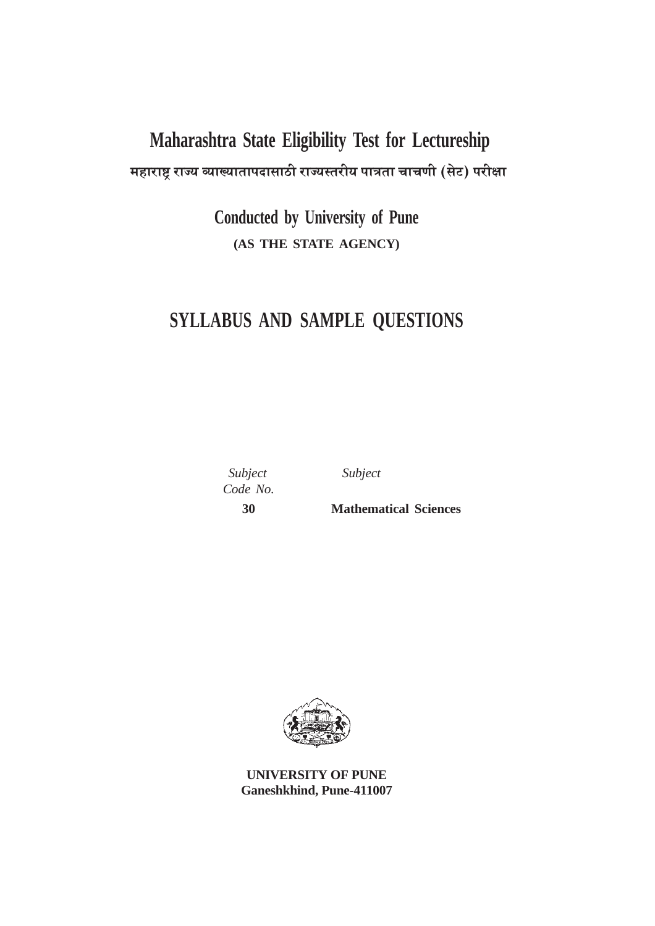# **Maharashtra State Eligibility Test for Lectureship** महाराष्ट्र राज्य व्याख्यातापदासाठी राज्यस्तरीय पात्रता चाचणी (सेट) परीक्षा

**Conducted by University of Pune (AS THE STATE AGENCY)**

# **SYLLABUS AND SAMPLE QUESTIONS**

 *Subject Subject Code No.*

 **30 Mathematical Sciences**



**UNIVERSITY OF PUNE Ganeshkhind, Pune-411007**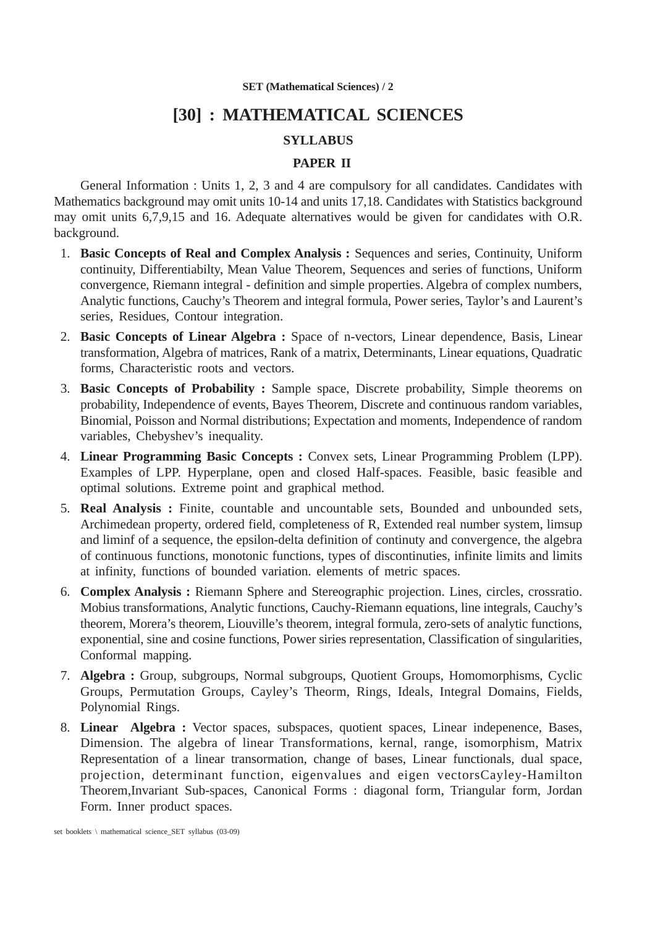# **[30] : MATHEMATICAL SCIENCES**

# **SYLLABUS**

# **PAPER II**

General Information : Units 1, 2, 3 and 4 are compulsory for all candidates. Candidates with Mathematics background may omit units 10-14 and units 17,18. Candidates with Statistics background may omit units 6,7,9,15 and 16. Adequate alternatives would be given for candidates with O.R. background.

- 1. **Basic Concepts of Real and Complex Analysis :** Sequences and series, Continuity, Uniform continuity, Differentiabilty, Mean Value Theorem, Sequences and series of functions, Uniform convergence, Riemann integral - definition and simple properties. Algebra of complex numbers, Analytic functions, Cauchy's Theorem and integral formula, Power series, Taylor's and Laurent's series, Residues, Contour integration.
- 2. **Basic Concepts of Linear Algebra :** Space of n-vectors, Linear dependence, Basis, Linear transformation, Algebra of matrices, Rank of a matrix, Determinants, Linear equations, Quadratic forms, Characteristic roots and vectors.
- 3. **Basic Concepts of Probability :** Sample space, Discrete probability, Simple theorems on probability, Independence of events, Bayes Theorem, Discrete and continuous random variables, Binomial, Poisson and Normal distributions; Expectation and moments, Independence of random variables, Chebyshev's inequality.
- 4. **Linear Programming Basic Concepts :** Convex sets, Linear Programming Problem (LPP). Examples of LPP. Hyperplane, open and closed Half-spaces. Feasible, basic feasible and optimal solutions. Extreme point and graphical method.
- 5. **Real Analysis :** Finite, countable and uncountable sets, Bounded and unbounded sets, Archimedean property, ordered field, completeness of R, Extended real number system, limsup and liminf of a sequence, the epsilon-delta definition of continuty and convergence, the algebra of continuous functions, monotonic functions, types of discontinuties, infinite limits and limits at infinity, functions of bounded variation. elements of metric spaces.
- 6. **Complex Analysis :** Riemann Sphere and Stereographic projection. Lines, circles, crossratio. Mobius transformations, Analytic functions, Cauchy-Riemann equations, line integrals, Cauchy's theorem, Morera's theorem, Liouville's theorem, integral formula, zero-sets of analytic functions, exponential, sine and cosine functions, Power siries representation, Classification of singularities, Conformal mapping.
- 7. **Algebra :** Group, subgroups, Normal subgroups, Quotient Groups, Homomorphisms, Cyclic Groups, Permutation Groups, Cayley's Theorm, Rings, Ideals, Integral Domains, Fields, Polynomial Rings.
- 8. **Linear Algebra :** Vector spaces, subspaces, quotient spaces, Linear indepenence, Bases, Dimension. The algebra of linear Transformations, kernal, range, isomorphism, Matrix Representation of a linear transormation, change of bases, Linear functionals, dual space, projection, determinant function, eigenvalues and eigen vectorsCayley-Hamilton Theorem,Invariant Sub-spaces, Canonical Forms : diagonal form, Triangular form, Jordan Form. Inner product spaces.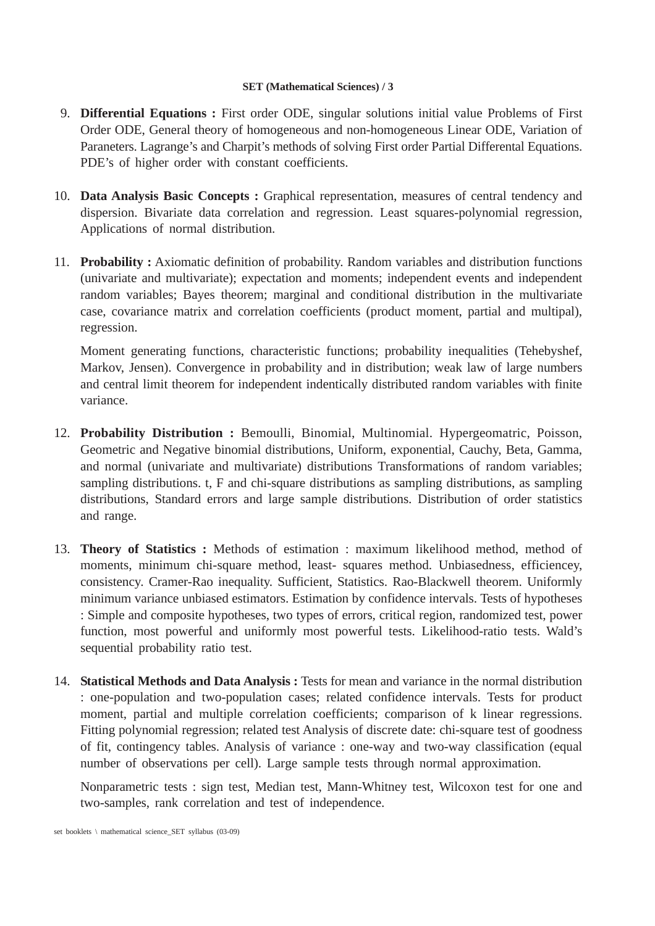- 9. **Differential Equations :** First order ODE, singular solutions initial value Problems of First Order ODE, General theory of homogeneous and non-homogeneous Linear ODE, Variation of Paraneters. Lagrange's and Charpit's methods of solving First order Partial Differental Equations. PDE's of higher order with constant coefficients.
- 10. **Data Analysis Basic Concepts :** Graphical representation, measures of central tendency and dispersion. Bivariate data correlation and regression. Least squares-polynomial regression, Applications of normal distribution.
- 11. **Probability :** Axiomatic definition of probability. Random variables and distribution functions (univariate and multivariate); expectation and moments; independent events and independent random variables; Bayes theorem; marginal and conditional distribution in the multivariate case, covariance matrix and correlation coefficients (product moment, partial and multipal), regression.

Moment generating functions, characteristic functions; probability inequalities (Tehebyshef, Markov, Jensen). Convergence in probability and in distribution; weak law of large numbers and central limit theorem for independent indentically distributed random variables with finite variance.

- 12. **Probability Distribution :** Bemoulli, Binomial, Multinomial. Hypergeomatric, Poisson, Geometric and Negative binomial distributions, Uniform, exponential, Cauchy, Beta, Gamma, and normal (univariate and multivariate) distributions Transformations of random variables; sampling distributions. t, F and chi-square distributions as sampling distributions, as sampling distributions, Standard errors and large sample distributions. Distribution of order statistics and range.
- 13. **Theory of Statistics :** Methods of estimation : maximum likelihood method, method of moments, minimum chi-square method, least- squares method. Unbiasedness, efficiencey, consistency. Cramer-Rao inequality. Sufficient, Statistics. Rao-Blackwell theorem. Uniformly minimum variance unbiased estimators. Estimation by confidence intervals. Tests of hypotheses : Simple and composite hypotheses, two types of errors, critical region, randomized test, power function, most powerful and uniformly most powerful tests. Likelihood-ratio tests. Wald's sequential probability ratio test.
- 14. **Statistical Methods and Data Analysis :** Tests for mean and variance in the normal distribution : one-population and two-population cases; related confidence intervals. Tests for product moment, partial and multiple correlation coefficients; comparison of k linear regressions. Fitting polynomial regression; related test Analysis of discrete date: chi-square test of goodness of fit, contingency tables. Analysis of variance : one-way and two-way classification (equal number of observations per cell). Large sample tests through normal approximation.

Nonparametric tests : sign test, Median test, Mann-Whitney test, Wilcoxon test for one and two-samples, rank correlation and test of independence.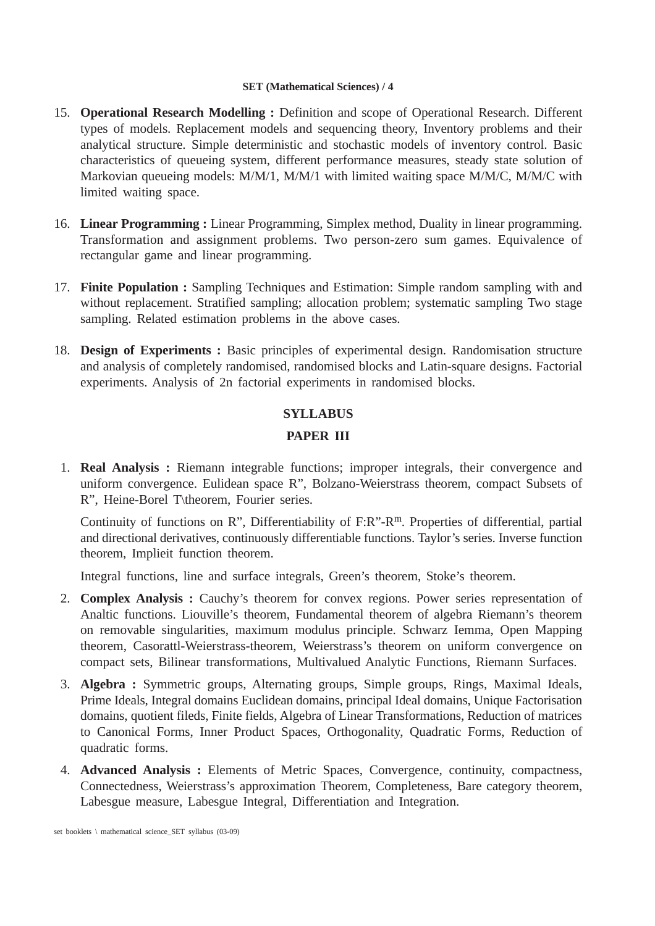- 15. **Operational Research Modelling :** Definition and scope of Operational Research. Different types of models. Replacement models and sequencing theory, Inventory problems and their analytical structure. Simple deterministic and stochastic models of inventory control. Basic characteristics of queueing system, different performance measures, steady state solution of Markovian queueing models: M/M/1, M/M/1 with limited waiting space M/M/C, M/M/C with limited waiting space.
- 16. **Linear Programming :** Linear Programming, Simplex method, Duality in linear programming. Transformation and assignment problems. Two person-zero sum games. Equivalence of rectangular game and linear programming.
- 17. **Finite Population :** Sampling Techniques and Estimation: Simple random sampling with and without replacement. Stratified sampling; allocation problem; systematic sampling Two stage sampling. Related estimation problems in the above cases.
- 18. **Design of Experiments :** Basic principles of experimental design. Randomisation structure and analysis of completely randomised, randomised blocks and Latin-square designs. Factorial experiments. Analysis of 2n factorial experiments in randomised blocks.

# **SYLLABUS**

# **PAPER III**

1. **Real Analysis :** Riemann integrable functions; improper integrals, their convergence and uniform convergence. Eulidean space R", Bolzano-Weierstrass theorem, compact Subsets of R", Heine-Borel T\theorem, Fourier series.

Continuity of functions on R", Differentiability of F:R"-R<sup>m</sup>. Properties of differential, partial and directional derivatives, continuously differentiable functions. Taylor's series. Inverse function theorem, Implieit function theorem.

Integral functions, line and surface integrals, Green's theorem, Stoke's theorem.

- 2. **Complex Analysis :** Cauchy's theorem for convex regions. Power series representation of Analtic functions. Liouville's theorem, Fundamental theorem of algebra Riemann's theorem on removable singularities, maximum modulus principle. Schwarz Iemma, Open Mapping theorem, Casorattl-Weierstrass-theorem, Weierstrass's theorem on uniform convergence on compact sets, Bilinear transformations, Multivalued Analytic Functions, Riemann Surfaces.
- 3. **Algebra :** Symmetric groups, Alternating groups, Simple groups, Rings, Maximal Ideals, Prime Ideals, Integral domains Euclidean domains, principal Ideal domains, Unique Factorisation domains, quotient fileds, Finite fields, Algebra of Linear Transformations, Reduction of matrices to Canonical Forms, Inner Product Spaces, Orthogonality, Quadratic Forms, Reduction of quadratic forms.
- 4. **Advanced Analysis :** Elements of Metric Spaces, Convergence, continuity, compactness, Connectedness, Weierstrass's approximation Theorem, Completeness, Bare category theorem, Labesgue measure, Labesgue Integral, Differentiation and Integration.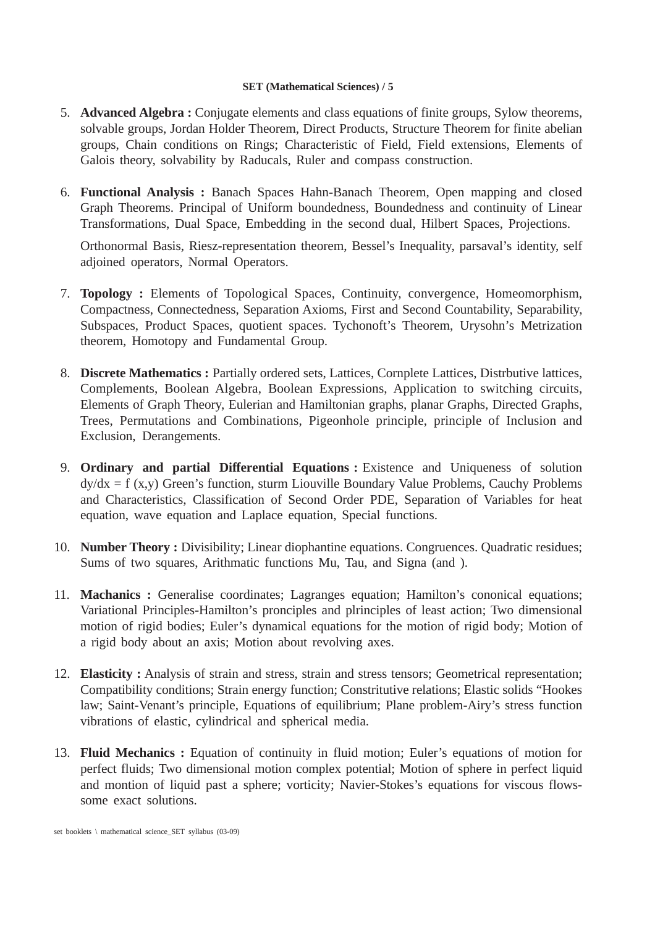- 5. **Advanced Algebra :** Conjugate elements and class equations of finite groups, Sylow theorems, solvable groups, Jordan Holder Theorem, Direct Products, Structure Theorem for finite abelian groups, Chain conditions on Rings; Characteristic of Field, Field extensions, Elements of Galois theory, solvability by Raducals, Ruler and compass construction.
- 6. **Functional Analysis :** Banach Spaces Hahn-Banach Theorem, Open mapping and closed Graph Theorems. Principal of Uniform boundedness, Boundedness and continuity of Linear Transformations, Dual Space, Embedding in the second dual, Hilbert Spaces, Projections.

Orthonormal Basis, Riesz-representation theorem, Bessel's Inequality, parsaval's identity, self adjoined operators, Normal Operators.

- 7. **Topology :** Elements of Topological Spaces, Continuity, convergence, Homeomorphism, Compactness, Connectedness, Separation Axioms, First and Second Countability, Separability, Subspaces, Product Spaces, quotient spaces. Tychonoft's Theorem, Urysohn's Metrization theorem, Homotopy and Fundamental Group.
- 8. **Discrete Mathematics :** Partially ordered sets, Lattices, Cornplete Lattices, Distrbutive lattices, Complements, Boolean Algebra, Boolean Expressions, Application to switching circuits, Elements of Graph Theory, Eulerian and Hamiltonian graphs, planar Graphs, Directed Graphs, Trees, Permutations and Combinations, Pigeonhole principle, principle of Inclusion and Exclusion, Derangements.
- 9. **Ordinary and partial Differential Equations :** Existence and Uniqueness of solution  $dy/dx = f(x,y)$  Green's function, sturm Liouville Boundary Value Problems, Cauchy Problems and Characteristics, Classification of Second Order PDE, Separation of Variables for heat equation, wave equation and Laplace equation, Special functions.
- 10. **Number Theory :** Divisibility; Linear diophantine equations. Congruences. Quadratic residues; Sums of two squares, Arithmatic functions Mu, Tau, and Signa (and ).
- 11. **Machanics :** Generalise coordinates; Lagranges equation; Hamilton's cononical equations; Variational Principles-Hamilton's pronciples and plrinciples of least action; Two dimensional motion of rigid bodies; Euler's dynamical equations for the motion of rigid body; Motion of a rigid body about an axis; Motion about revolving axes.
- 12. **Elasticity :** Analysis of strain and stress, strain and stress tensors; Geometrical representation; Compatibility conditions; Strain energy function; Constritutive relations; Elastic solids "Hookes law; Saint-Venant's principle, Equations of equilibrium; Plane problem-Airy's stress function vibrations of elastic, cylindrical and spherical media.
- 13. **Fluid Mechanics :** Equation of continuity in fluid motion; Euler's equations of motion for perfect fluids; Two dimensional motion complex potential; Motion of sphere in perfect liquid and montion of liquid past a sphere; vorticity; Navier-Stokes's equations for viscous flowssome exact solutions.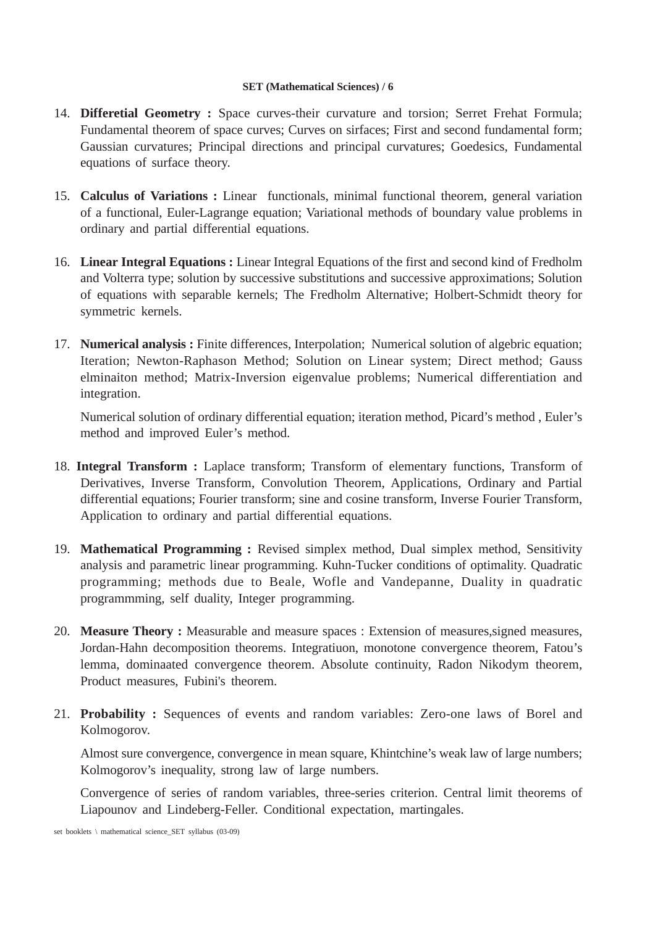- 14. **Differetial Geometry :** Space curves-their curvature and torsion; Serret Frehat Formula; Fundamental theorem of space curves; Curves on sirfaces; First and second fundamental form; Gaussian curvatures; Principal directions and principal curvatures; Goedesics, Fundamental equations of surface theory.
- 15. **Calculus of Variations :** Linear functionals, minimal functional theorem, general variation of a functional, Euler-Lagrange equation; Variational methods of boundary value problems in ordinary and partial differential equations.
- 16. **Linear Integral Equations :** Linear Integral Equations of the first and second kind of Fredholm and Volterra type; solution by successive substitutions and successive approximations; Solution of equations with separable kernels; The Fredholm Alternative; Holbert-Schmidt theory for symmetric kernels.
- 17. **Numerical analysis :** Finite differences, Interpolation; Numerical solution of algebric equation; Iteration; Newton-Raphason Method; Solution on Linear system; Direct method; Gauss elminaiton method; Matrix-Inversion eigenvalue problems; Numerical differentiation and integration.

Numerical solution of ordinary differential equation; iteration method, Picard's method , Euler's method and improved Euler's method.

- 18. **Integral Transform :** Laplace transform; Transform of elementary functions, Transform of Derivatives, Inverse Transform, Convolution Theorem, Applications, Ordinary and Partial differential equations; Fourier transform; sine and cosine transform, Inverse Fourier Transform, Application to ordinary and partial differential equations.
- 19. **Mathematical Programming :** Revised simplex method, Dual simplex method, Sensitivity analysis and parametric linear programming. Kuhn-Tucker conditions of optimality. Quadratic programming; methods due to Beale, Wofle and Vandepanne, Duality in quadratic programmming, self duality, Integer programming.
- 20. **Measure Theory :** Measurable and measure spaces : Extension of measures, signed measures, Jordan-Hahn decomposition theorems. Integratiuon, monotone convergence theorem, Fatou's lemma, dominaated convergence theorem. Absolute continuity, Radon Nikodym theorem, Product measures, Fubini's theorem.
- 21. **Probability :** Sequences of events and random variables: Zero-one laws of Borel and Kolmogorov.

Almost sure convergence, convergence in mean square, Khintchine's weak law of large numbers; Kolmogorov's inequality, strong law of large numbers.

Convergence of series of random variables, three-series criterion. Central limit theorems of Liapounov and Lindeberg-Feller. Conditional expectation, martingales.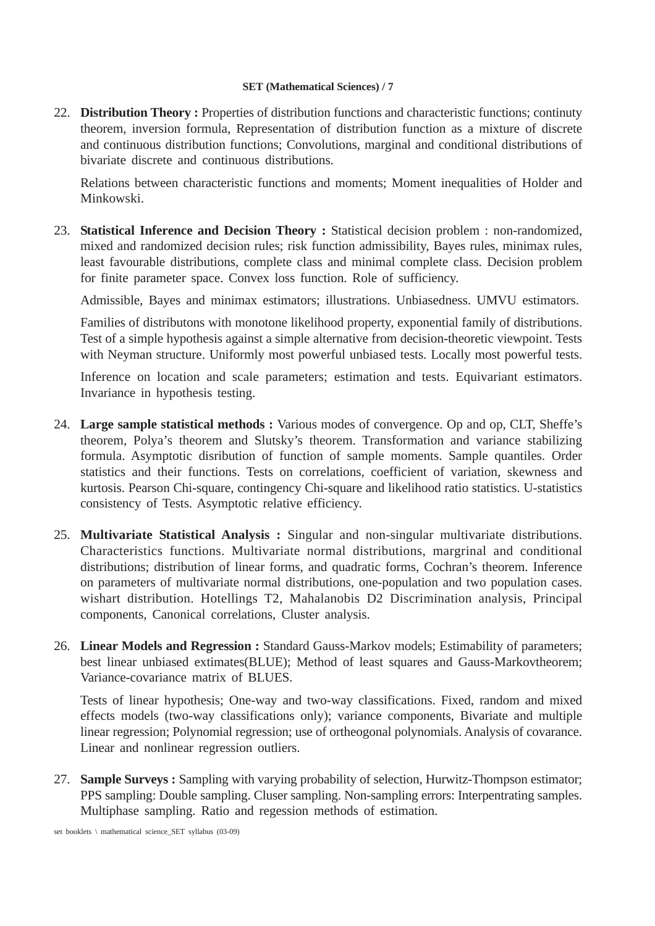22. **Distribution Theory :** Properties of distribution functions and characteristic functions; continuty theorem, inversion formula, Representation of distribution function as a mixture of discrete and continuous distribution functions; Convolutions, marginal and conditional distributions of bivariate discrete and continuous distributions.

Relations between characteristic functions and moments; Moment inequalities of Holder and Minkowski.

23. **Statistical Inference and Decision Theory :** Statistical decision problem : non-randomized, mixed and randomized decision rules; risk function admissibility, Bayes rules, minimax rules, least favourable distributions, complete class and minimal complete class. Decision problem for finite parameter space. Convex loss function. Role of sufficiency.

Admissible, Bayes and minimax estimators; illustrations. Unbiasedness. UMVU estimators.

Families of distributons with monotone likelihood property, exponential family of distributions. Test of a simple hypothesis against a simple alternative from decision-theoretic viewpoint. Tests with Neyman structure. Uniformly most powerful unbiased tests. Locally most powerful tests.

Inference on location and scale parameters; estimation and tests. Equivariant estimators. Invariance in hypothesis testing.

- 24. **Large sample statistical methods :** Various modes of convergence. Op and op, CLT, Sheffe's theorem, Polya's theorem and Slutsky's theorem. Transformation and variance stabilizing formula. Asymptotic disribution of function of sample moments. Sample quantiles. Order statistics and their functions. Tests on correlations, coefficient of variation, skewness and kurtosis. Pearson Chi-square, contingency Chi-square and likelihood ratio statistics. U-statistics consistency of Tests. Asymptotic relative efficiency.
- 25. **Multivariate Statistical Analysis :** Singular and non-singular multivariate distributions. Characteristics functions. Multivariate normal distributions, margrinal and conditional distributions; distribution of linear forms, and quadratic forms, Cochran's theorem. Inference on parameters of multivariate normal distributions, one-population and two population cases. wishart distribution. Hotellings T2, Mahalanobis D2 Discrimination analysis, Principal components, Canonical correlations, Cluster analysis.
- 26. **Linear Models and Regression :** Standard Gauss-Markov models; Estimability of parameters; best linear unbiased extimates(BLUE); Method of least squares and Gauss-Markovtheorem; Variance-covariance matrix of BLUES.

Tests of linear hypothesis; One-way and two-way classifications. Fixed, random and mixed effects models (two-way classifications only); variance components, Bivariate and multiple linear regression; Polynomial regression; use of ortheogonal polynomials. Analysis of covarance. Linear and nonlinear regression outliers.

27. **Sample Surveys :** Sampling with varying probability of selection, Hurwitz-Thompson estimator; PPS sampling: Double sampling. Cluser sampling. Non-sampling errors: Interpentrating samples. Multiphase sampling. Ratio and regession methods of estimation.